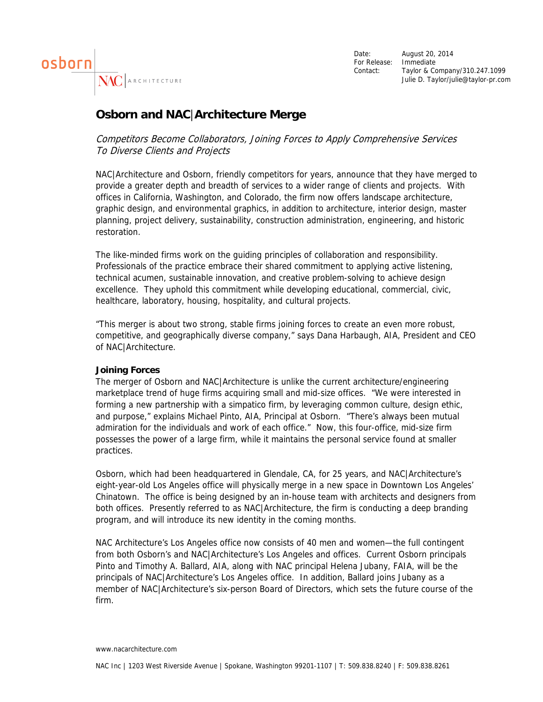

Date: August 20, 2014 For Release: Immediate Contact: Taylor & Company/310.247.1099 Julie D. Taylor/julie@taylor-pr.com

## **Osborn and NAC**|**Architecture Merge**

Competitors Become Collaborators, Joining Forces to Apply Comprehensive Services To Diverse Clients and Projects

NAC|Architecture and Osborn, friendly competitors for years, announce that they have merged to provide a greater depth and breadth of services to a wider range of clients and projects. With offices in California, Washington, and Colorado, the firm now offers landscape architecture, graphic design, and environmental graphics, in addition to architecture, interior design, master planning, project delivery, sustainability, construction administration, engineering, and historic restoration.

The like-minded firms work on the guiding principles of collaboration and responsibility. Professionals of the practice embrace their shared commitment to applying active listening, technical acumen, sustainable innovation, and creative problem-solving to achieve design excellence. They uphold this commitment while developing educational, commercial, civic, healthcare, laboratory, housing, hospitality, and cultural projects.

"This merger is about two strong, stable firms joining forces to create an even more robust, competitive, and geographically diverse company," says Dana Harbaugh, AIA, President and CEO of NAC|Architecture.

## **Joining Forces**

The merger of Osborn and NAC|Architecture is unlike the current architecture/engineering marketplace trend of huge firms acquiring small and mid-size offices. "We were interested in forming a new partnership with a simpatico firm, by leveraging common culture, design ethic, and purpose," explains Michael Pinto, AIA, Principal at Osborn. "There's always been mutual admiration for the individuals and work of each office." Now, this four-office, mid-size firm possesses the power of a large firm, while it maintains the personal service found at smaller practices.

Osborn, which had been headquartered in Glendale, CA, for 25 years, and NAC|Architecture's eight-year-old Los Angeles office will physically merge in a new space in Downtown Los Angeles' Chinatown. The office is being designed by an in-house team with architects and designers from both offices. Presently referred to as NAC|Architecture, the firm is conducting a deep branding program, and will introduce its new identity in the coming months.

NAC Architecture's Los Angeles office now consists of 40 men and women—the full contingent from both Osborn's and NAC|Architecture's Los Angeles and offices. Current Osborn principals Pinto and Timothy A. Ballard, AIA, along with NAC principal Helena Jubany, FAIA, will be the principals of NAC|Architecture's Los Angeles office. In addition, Ballard joins Jubany as a member of NAC|Architecture's six-person Board of Directors, which sets the future course of the firm.

www.nacarchitecture.com